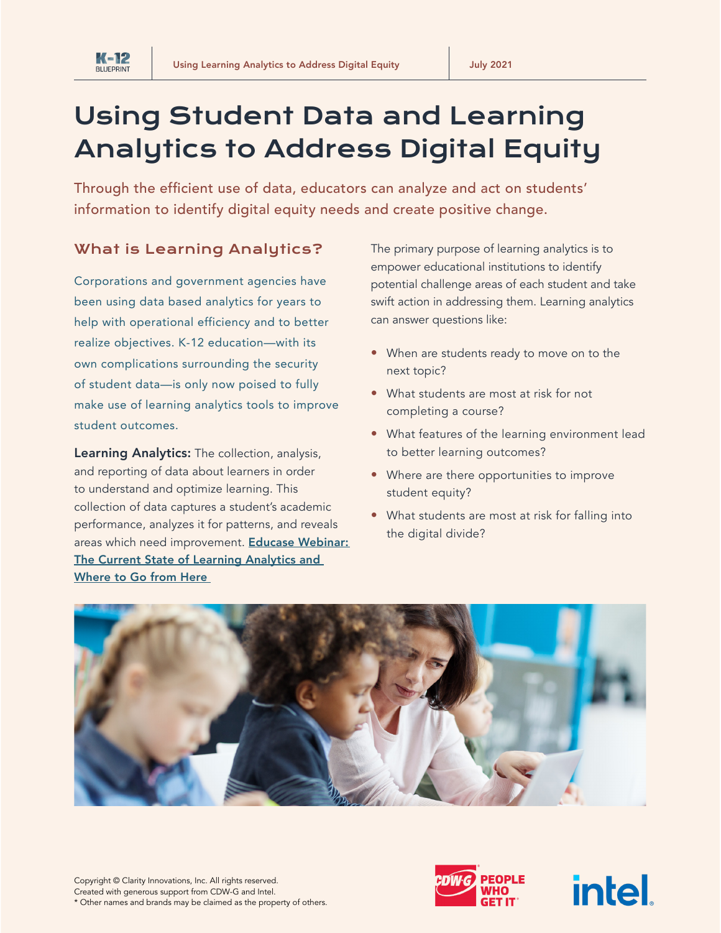

Through the efficient use of data, educators can analyze and act on students' information to identify digital equity needs and create positive change.

#### What is Learning Analytics?

**K-12 BLUEPRIN** 

Corporations and government agencies have been using data based analytics for years to help with operational efficiency and to better realize objectives. K-12 education—with its own complications surrounding the security of student data—is only now poised to fully make use of learning analytics tools to improve student outcomes.

Learning Analytics: The collection, analysis, and reporting of data about learners in order to understand and optimize learning. This collection of data captures a student's academic performance, analyzes it for patterns, and reveals areas which need improvement. Educase Webinar: [The Current State of Learning Analytics and](https://events.educause.edu/webinar/2021/the-current-state-of-learning-analytics-and-where-to-go-from-here)  [Where to Go from Here](https://events.educause.edu/webinar/2021/the-current-state-of-learning-analytics-and-where-to-go-from-here) 

The primary purpose of learning analytics is to empower educational institutions to identify potential challenge areas of each student and take swift action in addressing them. Learning analytics can answer questions like:

- When are students ready to move on to the next topic?
- What students are most at risk for not completing a course?
- What features of the learning environment lead to better learning outcomes?
- Where are there opportunities to improve student equity?
- What students are most at risk for falling into the digital divide?





**intel**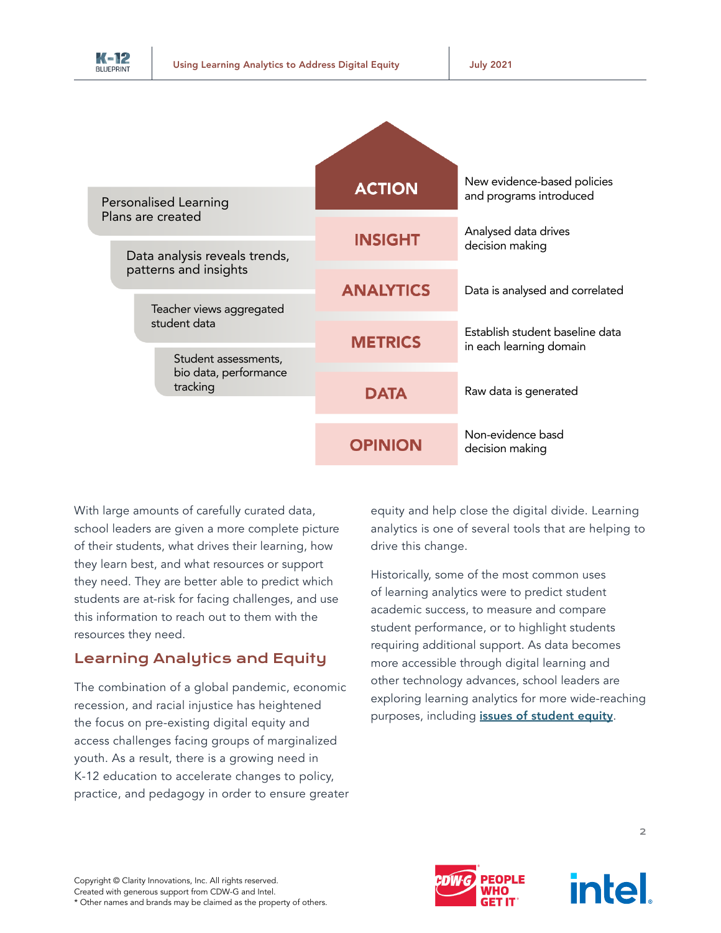

| Personalised Learning<br>Plans are created<br>Data analysis reveals trends,<br>patterns and insights<br>Teacher views aggregated<br>student data<br>Student assessments,<br>bio data, performance<br>tracking | <b>ACTION</b>    | New evidence-based policies<br>and programs introduced     |
|---------------------------------------------------------------------------------------------------------------------------------------------------------------------------------------------------------------|------------------|------------------------------------------------------------|
|                                                                                                                                                                                                               | <b>INSIGHT</b>   | Analysed data drives<br>decision making                    |
|                                                                                                                                                                                                               | <b>ANALYTICS</b> | Data is analysed and correlated                            |
|                                                                                                                                                                                                               | <b>METRICS</b>   | Establish student baseline data<br>in each learning domain |
|                                                                                                                                                                                                               | <b>DATA</b>      | Raw data is generated                                      |
|                                                                                                                                                                                                               | <b>OPINION</b>   | Non-evidence basd<br>decision making                       |

With large amounts of carefully curated data, school leaders are given a more complete picture of their students, what drives their learning, how they learn best, and what resources or support they need. They are better able to predict which students are at-risk for facing challenges, and use this information to reach out to them with the resources they need.

## Learning Analytics and Equity

The combination of a global pandemic, economic recession, and racial injustice has heightened the focus on pre-existing digital equity and access challenges facing groups of marginalized youth. As a result, there is a growing need in K-12 education to accelerate changes to policy, practice, and pedagogy in order to ensure greater equity and help close the digital divide. Learning analytics is one of several tools that are helping to drive this change.

Historically, some of the most common uses of learning analytics were to predict student academic success, to measure and compare student performance, or to highlight students requiring additional support. As data becomes more accessible through digital learning and other technology advances, school leaders are exploring learning analytics for more wide-reaching purposes, including *[issues of student equity](https://www.everylearnereverywhere.org/wp-content/uploads/Tyton_LAToolkit_Guiding-Principles_v4.pdf)*.



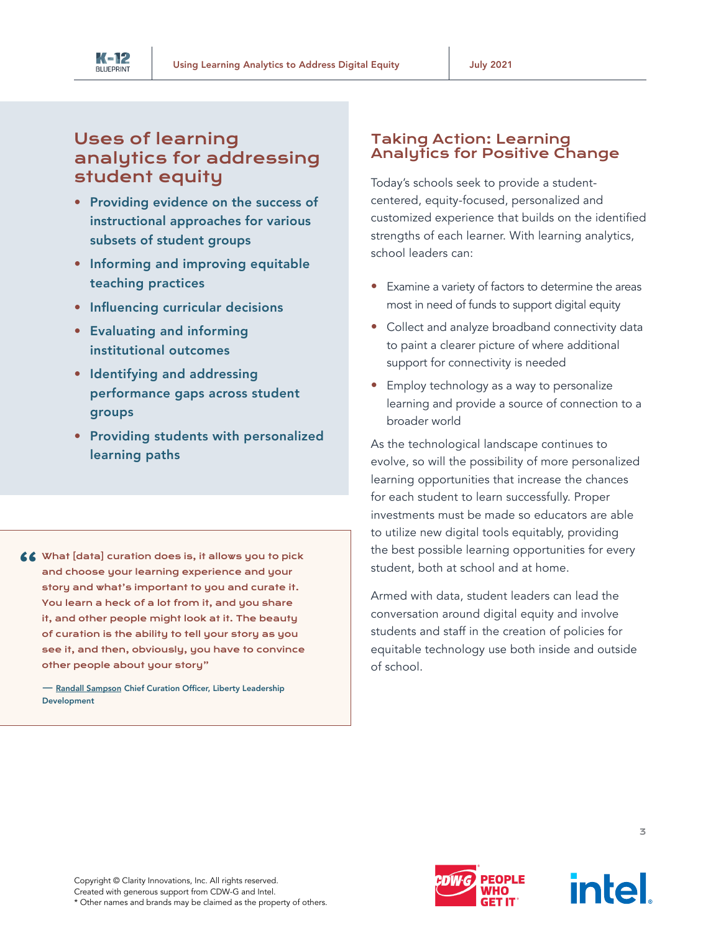

# Uses of learning analytics for addressing student equity

- Providing evidence on the success of instructional approaches for various subsets of student groups
- Informing and improving equitable teaching practices
- Influencing curricular decisions
- Evaluating and informing institutional outcomes
- Identifying and addressing performance gaps across student groups
- Providing students with personalized learning paths
- 66 What [data] curation does is, it allows you to pick and choose your learning experience and your story and what's important to you and curate it. You learn a heck of a lot from it, and you share it, and other people might look at it. The beauty of curation is the ability to tell your story as you see it, and then, obviously, you have to convince other people about your story"

— [Randall Sampson](https://edtechmagazine.com/k12/article/2021/05/qa-using-student-data-improve-equity-and-learning-outcomes) Chief Curation Officer, Liberty Leadership Development

#### Taking Action: Learning Analytics for Positive Change

Today's schools seek to provide a studentcentered, equity-focused, personalized and customized experience that builds on the identified strengths of each learner. With learning analytics, school leaders can:

- Examine a variety of factors to determine the areas most in need of funds to support digital equity
- Collect and analyze broadband connectivity data to paint a clearer picture of where additional support for connectivity is needed
- Employ technology as a way to personalize learning and provide a source of connection to a broader world

As the technological landscape continues to evolve, so will the possibility of more personalized learning opportunities that increase the chances for each student to learn successfully. Proper investments must be made so educators are able to utilize new digital tools equitably, providing the best possible learning opportunities for every student, both at school and at home.

Armed with data, student leaders can lead the conversation around digital equity and involve students and staff in the creation of policies for equitable technology use both inside and outside of school.

Copyright © Clarity Innovations, Inc. All rights reserved. Created with generous support from CDW-G and Intel. \* Other names and brands may be claimed as the property of others.